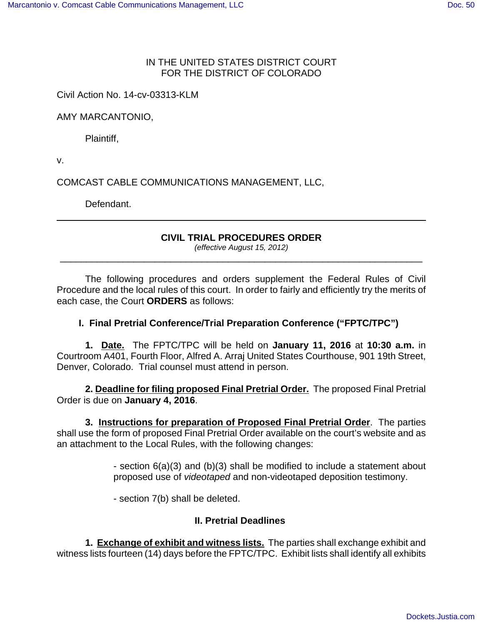#### IN THE UNITED STATES DISTRICT COURT FOR THE DISTRICT OF COLORADO

Civil Action No. 14-cv-03313-KLM

AMY MARCANTONIO,

Plaintiff,

v.

COMCAST CABLE COMMUNICATIONS MANAGEMENT, LLC,

Defendant.

#### **CIVIL TRIAL PROCEDURES ORDER**

(effective August 15, 2012) \_\_\_\_\_\_\_\_\_\_\_\_\_\_\_\_\_\_\_\_\_\_\_\_\_\_\_\_\_\_\_\_\_\_\_\_\_\_\_\_\_\_\_\_\_\_\_\_\_\_\_\_\_\_\_\_\_\_\_\_\_\_\_\_\_\_\_\_\_

The following procedures and orders supplement the Federal Rules of Civil Procedure and the local rules of this court. In order to fairly and efficiently try the merits of each case, the Court **ORDERS** as follows:

# **I. Final Pretrial Conference/Trial Preparation Conference ("FPTC/TPC")**

**1. Date.** The FPTC/TPC will be held on **January 11, 2016** at **10:30 a.m.** in Courtroom A401, Fourth Floor, Alfred A. Arraj United States Courthouse, 901 19th Street, Denver, Colorado. Trial counsel must attend in person.

**2. Deadline for filing proposed Final Pretrial Order.** The proposed Final Pretrial Order is due on **January 4, 2016**.

**3. Instructions for preparation of Proposed Final Pretrial Order**. The parties shall use the form of proposed Final Pretrial Order available on the court's website and as an attachment to the Local Rules, with the following changes:

> - section 6(a)(3) and (b)(3) shall be modified to include a statement about proposed use of videotaped and non-videotaped deposition testimony.

- section 7(b) shall be deleted.

# **II. Pretrial Deadlines**

**1. Exchange of exhibit and witness lists.** The parties shall exchange exhibit and witness lists fourteen (14) days before the FPTC/TPC. Exhibit lists shall identify all exhibits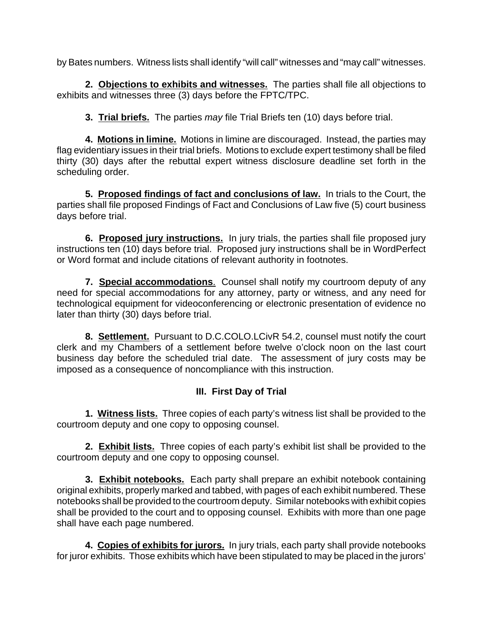by Bates numbers. Witness lists shall identify "will call" witnesses and "may call" witnesses.

**2. Objections to exhibits and witnesses.** The parties shall file all objections to exhibits and witnesses three (3) days before the FPTC/TPC.

**3. Trial briefs.** The parties may file Trial Briefs ten (10) days before trial.

**4. Motions in limine.** Motions in limine are discouraged. Instead, the parties may flag evidentiary issues in their trial briefs. Motions to exclude expert testimony shall be filed thirty (30) days after the rebuttal expert witness disclosure deadline set forth in the scheduling order.

**5. Proposed findings of fact and conclusions of law.** In trials to the Court, the parties shall file proposed Findings of Fact and Conclusions of Law five (5) court business days before trial.

**6. Proposed jury instructions.** In jury trials, the parties shall file proposed jury instructions ten (10) days before trial. Proposed jury instructions shall be in WordPerfect or Word format and include citations of relevant authority in footnotes.

**7. Special accommodations**. Counsel shall notify my courtroom deputy of any need for special accommodations for any attorney, party or witness, and any need for technological equipment for videoconferencing or electronic presentation of evidence no later than thirty (30) days before trial.

**8. Settlement.** Pursuant to D.C.COLO.LCivR 54.2, counsel must notify the court clerk and my Chambers of a settlement before twelve o'clock noon on the last court business day before the scheduled trial date. The assessment of jury costs may be imposed as a consequence of noncompliance with this instruction.

# **III. First Day of Trial**

**1. Witness lists.** Three copies of each party's witness list shall be provided to the courtroom deputy and one copy to opposing counsel.

**2. Exhibit lists.** Three copies of each party's exhibit list shall be provided to the courtroom deputy and one copy to opposing counsel.

**3. Exhibit notebooks.** Each party shall prepare an exhibit notebook containing original exhibits, properly marked and tabbed, with pages of each exhibit numbered. These notebooks shall be provided to the courtroom deputy. Similar notebooks with exhibit copies shall be provided to the court and to opposing counsel. Exhibits with more than one page shall have each page numbered.

**4. Copies of exhibits for jurors.** In jury trials, each party shall provide notebooks for juror exhibits. Those exhibits which have been stipulated to may be placed in the jurors'